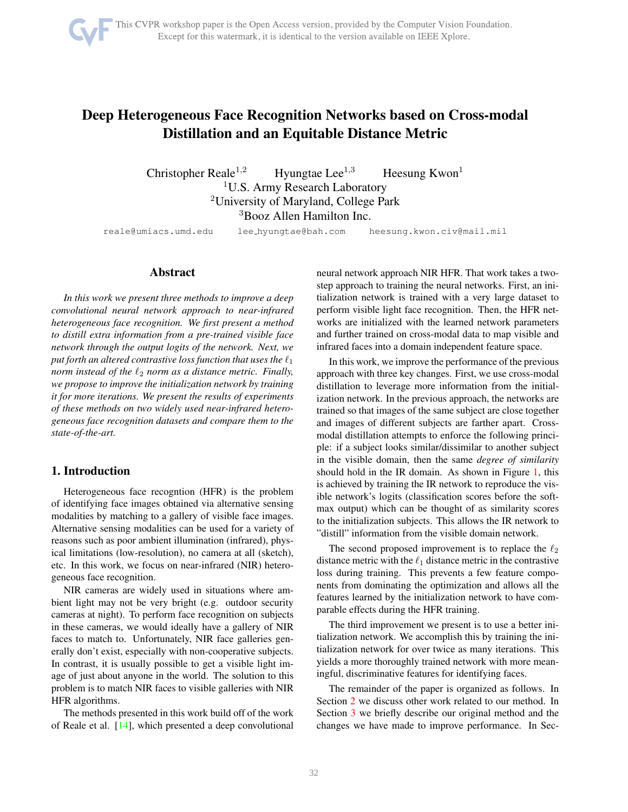

# <span id="page-0-0"></span>Deep Heterogeneous Face Recognition Networks based on Cross-modal Distillation and an Equitable Distance Metric

Christopher Reale<sup>1,2</sup> Hyungtae Lee<sup>1,3</sup> Heesung Kwon<sup>1</sup> <sup>1</sup>U.S. Army Research Laboratory <sup>2</sup>University of Maryland, College Park <sup>3</sup>Booz Allen Hamilton Inc.

reale@umiacs.umd.edu lee hyungtae@bah.com heesung.kwon.civ@mail.mil

# Abstract

*In this work we present three methods to improve a deep convolutional neural network approach to near-infrared heterogeneous face recognition. We first present a method to distill extra information from a pre-trained visible face network through the output logits of the network. Next, we put forth an altered contrastive loss function that uses the*  $\ell_1$ *norm instead of the*  $\ell_2$  *norm as a distance metric. Finally, we propose to improve the initialization network by training it for more iterations. We present the results of experiments of these methods on two widely used near-infrared heterogeneous face recognition datasets and compare them to the state-of-the-art.*

## 1. Introduction

Heterogeneous face recogntion (HFR) is the problem of identifying face images obtained via alternative sensing modalities by matching to a gallery of visible face images. Alternative sensing modalities can be used for a variety of reasons such as poor ambient illumination (infrared), physical limitations (low-resolution), no camera at all (sketch), etc. In this work, we focus on near-infrared (NIR) heterogeneous face recognition.

NIR cameras are widely used in situations where ambient light may not be very bright (e.g. outdoor security cameras at night). To perform face recognition on subjects in these cameras, we would ideally have a gallery of NIR faces to match to. Unfortunately, NIR face galleries generally don't exist, especially with non-cooperative subjects. In contrast, it is usually possible to get a visible light image of just about anyone in the world. The solution to this problem is to match NIR faces to visible galleries with NIR HFR algorithms.

The methods presented in this work build off of the work of Reale et al. [\[14\]](#page-6-0), which presented a deep convolutional neural network approach NIR HFR. That work takes a twostep approach to training the neural networks. First, an initialization network is trained with a very large dataset to perform visible light face recognition. Then, the HFR networks are initialized with the learned network parameters and further trained on cross-modal data to map visible and infrared faces into a domain independent feature space.

In this work, we improve the performance of the previous approach with three key changes. First, we use cross-modal distillation to leverage more information from the initialization network. In the previous approach, the networks are trained so that images of the same subject are close together and images of different subjects are farther apart. Crossmodal distillation attempts to enforce the following principle: if a subject looks similar/dissimilar to another subject in the visible domain, then the same *degree of similarity* should hold in the IR domain. As shown in Figure [1,](#page-1-0) this is achieved by training the IR network to reproduce the visible network's logits (classification scores before the softmax output) which can be thought of as similarity scores to the initialization subjects. This allows the IR network to "distill" information from the visible domain network.

The second proposed improvement is to replace the  $\ell_2$ distance metric with the  $\ell_1$  distance metric in the contrastive loss during training. This prevents a few feature components from dominating the optimization and allows all the features learned by the initialization network to have comparable effects during the HFR training.

The third improvement we present is to use a better initialization network. We accomplish this by training the initialization network for over twice as many iterations. This yields a more thoroughly trained network with more meaningful, discriminative features for identifying faces.

The remainder of the paper is organized as follows. In Section [2](#page-1-1) we discuss other work related to our method. In Section [3](#page-1-2) we briefly describe our original method and the changes we have made to improve performance. In Sec-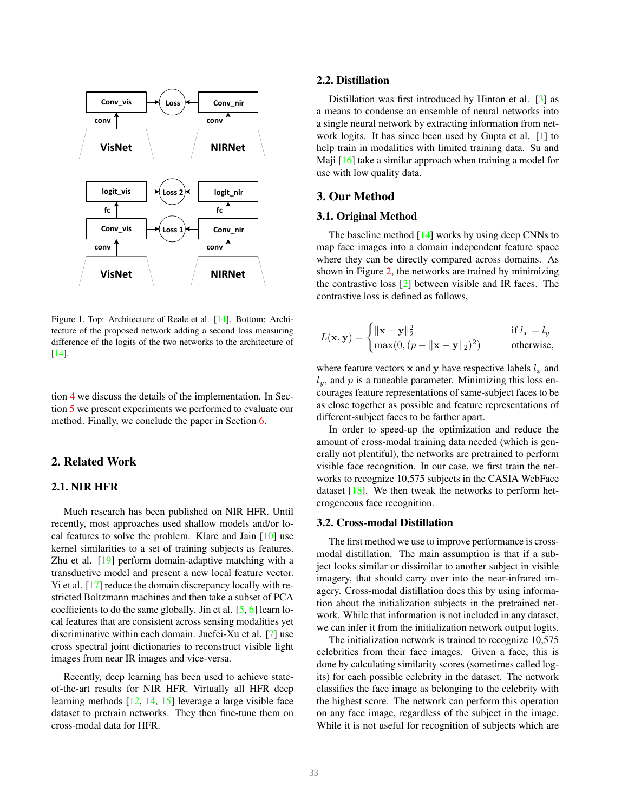<span id="page-1-4"></span>

<span id="page-1-0"></span>Figure 1. Top: Architecture of Reale et al. [\[14\]](#page-6-0). Bottom: Architecture of the proposed network adding a second loss measuring difference of the logits of the two networks to the architecture of [\[14\]](#page-6-0).

tion [4](#page-2-0) we discuss the details of the implementation. In Section [5](#page-4-0) we present experiments we performed to evaluate our method. Finally, we conclude the paper in Section [6.](#page-5-0)

# <span id="page-1-1"></span>2. Related Work

## 2.1. NIR HFR

Much research has been published on NIR HFR. Until recently, most approaches used shallow models and/or local features to solve the problem. Klare and Jain [\[10\]](#page-6-1) use kernel similarities to a set of training subjects as features. Zhu et al. [\[19\]](#page-6-2) perform domain-adaptive matching with a transductive model and present a new local feature vector. Yi et al. [\[17\]](#page-6-3) reduce the domain discrepancy locally with restricted Boltzmann machines and then take a subset of PCA coefficients to do the same globally. Jin et al. [\[5,](#page-5-1) [6\]](#page-5-2) learn local features that are consistent across sensing modalities yet discriminative within each domain. Juefei-Xu et al. [\[7\]](#page-6-4) use cross spectral joint dictionaries to reconstruct visible light images from near IR images and vice-versa.

Recently, deep learning has been used to achieve stateof-the-art results for NIR HFR. Virtually all HFR deep learning methods [\[12,](#page-6-5) [14,](#page-6-0) [15\]](#page-6-6) leverage a large visible face dataset to pretrain networks. They then fine-tune them on cross-modal data for HFR.

#### 2.2. Distillation

Distillation was first introduced by Hinton et al. [\[3\]](#page-5-3) as a means to condense an ensemble of neural networks into a single neural network by extracting information from network logits. It has since been used by Gupta et al. [\[1\]](#page-5-4) to help train in modalities with limited training data. Su and Maji [\[16\]](#page-6-7) take a similar approach when training a model for use with low quality data.

## <span id="page-1-2"></span>3. Our Method

#### 3.1. Original Method

The baseline method  $[14]$  works by using deep CNNs to map face images into a domain independent feature space where they can be directly compared across domains. As shown in Figure [2,](#page-3-0) the networks are trained by minimizing the contrastive loss [\[2\]](#page-5-5) between visible and IR faces. The contrastive loss is defined as follows,

$$
L(\mathbf{x}, \mathbf{y}) = \begin{cases} \|\mathbf{x} - \mathbf{y}\|_2^2 & \text{if } l_x = l_y \\ \max(0, (p - \|\mathbf{x} - \mathbf{y}\|_2)^2) & \text{otherwise,} \end{cases}
$$

where feature vectors  $x$  and  $y$  have respective labels  $l_x$  and  $l_y$ , and p is a tuneable parameter. Minimizing this loss encourages feature representations of same-subject faces to be as close together as possible and feature representations of different-subject faces to be farther apart.

In order to speed-up the optimization and reduce the amount of cross-modal training data needed (which is generally not plentiful), the networks are pretrained to perform visible face recognition. In our case, we first train the networks to recognize 10,575 subjects in the CASIA WebFace dataset  $[18]$ . We then tweak the networks to perform heterogeneous face recognition.

#### <span id="page-1-3"></span>3.2. Cross-modal Distillation

The first method we use to improve performance is crossmodal distillation. The main assumption is that if a subject looks similar or dissimilar to another subject in visible imagery, that should carry over into the near-infrared imagery. Cross-modal distillation does this by using information about the initialization subjects in the pretrained network. While that information is not included in any dataset, we can infer it from the initialization network output logits.

The initialization network is trained to recognize 10,575 celebrities from their face images. Given a face, this is done by calculating similarity scores (sometimes called logits) for each possible celebrity in the dataset. The network classifies the face image as belonging to the celebrity with the highest score. The network can perform this operation on any face image, regardless of the subject in the image. While it is not useful for recognition of subjects which are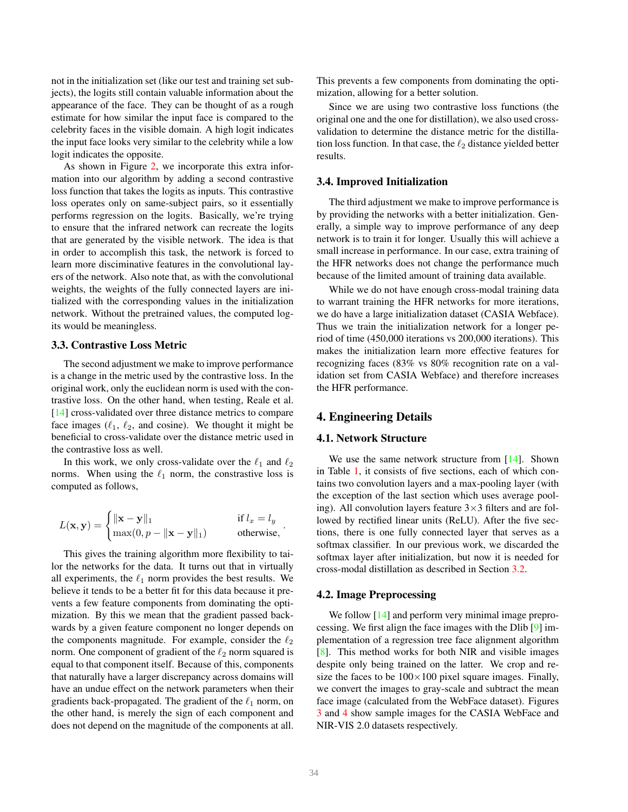<span id="page-2-1"></span>not in the initialization set (like our test and training set subjects), the logits still contain valuable information about the appearance of the face. They can be thought of as a rough estimate for how similar the input face is compared to the celebrity faces in the visible domain. A high logit indicates the input face looks very similar to the celebrity while a low logit indicates the opposite.

As shown in Figure [2,](#page-3-0) we incorporate this extra information into our algorithm by adding a second contrastive loss function that takes the logits as inputs. This contrastive loss operates only on same-subject pairs, so it essentially performs regression on the logits. Basically, we're trying to ensure that the infrared network can recreate the logits that are generated by the visible network. The idea is that in order to accomplish this task, the network is forced to learn more disciminative features in the convolutional layers of the network. Also note that, as with the convolutional weights, the weights of the fully connected layers are initialized with the corresponding values in the initialization network. Without the pretrained values, the computed logits would be meaningless.

#### 3.3. Contrastive Loss Metric

The second adjustment we make to improve performance is a change in the metric used by the contrastive loss. In the original work, only the euclidean norm is used with the contrastive loss. On the other hand, when testing, Reale et al. [\[14\]](#page-6-0) cross-validated over three distance metrics to compare face images  $(\ell_1, \ell_2, \text{ and cosine})$ . We thought it might be beneficial to cross-validate over the distance metric used in the contrastive loss as well.

In this work, we only cross-validate over the  $\ell_1$  and  $\ell_2$ norms. When using the  $\ell_1$  norm, the constrastive loss is computed as follows,

$$
L(\mathbf{x}, \mathbf{y}) = \begin{cases} \|\mathbf{x} - \mathbf{y}\|_1 & \text{if } l_x = l_y \\ \max(0, p - \|\mathbf{x} - \mathbf{y}\|_1) & \text{otherwise,} \end{cases}
$$

This gives the training algorithm more flexibility to tailor the networks for the data. It turns out that in virtually all experiments, the  $\ell_1$  norm provides the best results. We believe it tends to be a better fit for this data because it prevents a few feature components from dominating the optimization. By this we mean that the gradient passed backwards by a given feature component no longer depends on the components magnitude. For example, consider the  $\ell_2$ norm. One component of gradient of the  $\ell_2$  norm squared is equal to that component itself. Because of this, components that naturally have a larger discrepancy across domains will have an undue effect on the network parameters when their gradients back-propagated. The gradient of the  $\ell_1$  norm, on the other hand, is merely the sign of each component and does not depend on the magnitude of the components at all.

This prevents a few components from dominating the optimization, allowing for a better solution.

Since we are using two contrastive loss functions (the original one and the one for distillation), we also used crossvalidation to determine the distance metric for the distillation loss function. In that case, the  $\ell_2$  distance yielded better results.

#### 3.4. Improved Initialization

The third adjustment we make to improve performance is by providing the networks with a better initialization. Generally, a simple way to improve performance of any deep network is to train it for longer. Usually this will achieve a small increase in performance. In our case, extra training of the HFR networks does not change the performance much because of the limited amount of training data available.

While we do not have enough cross-modal training data to warrant training the HFR networks for more iterations, we do have a large initialization dataset (CASIA Webface). Thus we train the initialization network for a longer period of time (450,000 iterations vs 200,000 iterations). This makes the initialization learn more effective features for recognizing faces (83% vs 80% recognition rate on a validation set from CASIA Webface) and therefore increases the HFR performance.

# <span id="page-2-0"></span>4. Engineering Details

## 4.1. Network Structure

We use the same network structure from [\[14\]](#page-6-0). Shown in Table [1,](#page-4-1) it consists of five sections, each of which contains two convolution layers and a max-pooling layer (with the exception of the last section which uses average pooling). All convolution layers feature  $3\times3$  filters and are followed by rectified linear units (ReLU). After the five sections, there is one fully connected layer that serves as a softmax classifier. In our previous work, we discarded the softmax layer after initialization, but now it is needed for cross-modal distillation as described in Section [3.2.](#page-1-3)

#### 4.2. Image Preprocessing

We follow [\[14\]](#page-6-0) and perform very minimal image preprocessing. We first align the face images with the Dlib [\[9\]](#page-6-9) implementation of a regression tree face alignment algorithm [\[8\]](#page-6-10). This method works for both NIR and visible images despite only being trained on the latter. We crop and resize the faces to be  $100 \times 100$  pixel square images. Finally, we convert the images to gray-scale and subtract the mean face image (calculated from the WebFace dataset). Figures [3](#page-3-1) and [4](#page-3-2) show sample images for the CASIA WebFace and NIR-VIS 2.0 datasets respectively.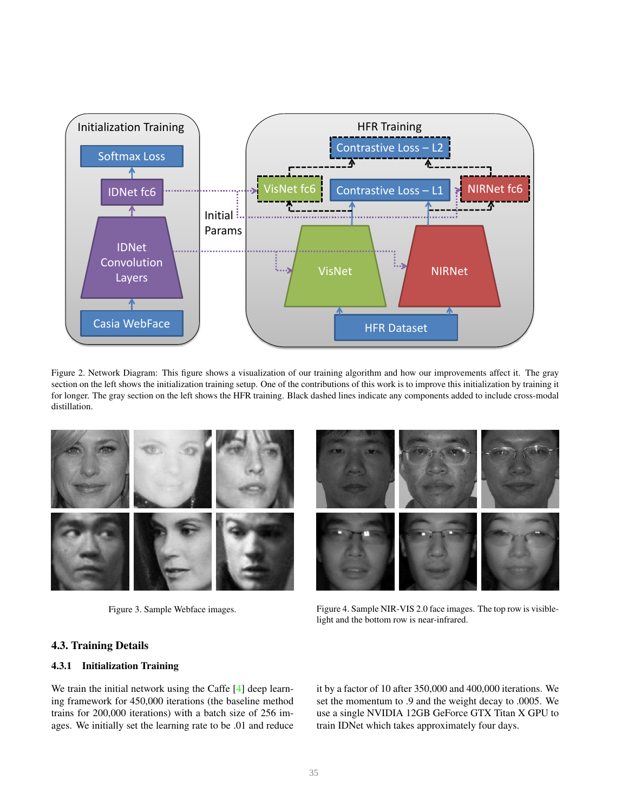<span id="page-3-3"></span>

<span id="page-3-0"></span>Figure 2. Network Diagram: This figure shows a visualization of our training algorithm and how our improvements affect it. The gray section on the left shows the initialization training setup. One of the contributions of this work is to improve this initialization by training it for longer. The gray section on the left shows the HFR training. Black dashed lines indicate any components added to include cross-modal distillation.



<span id="page-3-1"></span>Figure 3. Sample Webface images.

<span id="page-3-2"></span>Figure 4. Sample NIR-VIS 2.0 face images. The top row is visiblelight and the bottom row is near-infrared.

# 4.3. Training Details

## 4.3.1 Initialization Training

We train the initial network using the Caffe [\[4\]](#page-5-6) deep learning framework for 450,000 iterations (the baseline method trains for 200,000 iterations) with a batch size of 256 images. We initially set the learning rate to be .01 and reduce it by a factor of 10 after 350,000 and 400,000 iterations. We set the momentum to .9 and the weight decay to .0005. We use a single NVIDIA 12GB GeForce GTX Titan X GPU to train IDNet which takes approximately four days.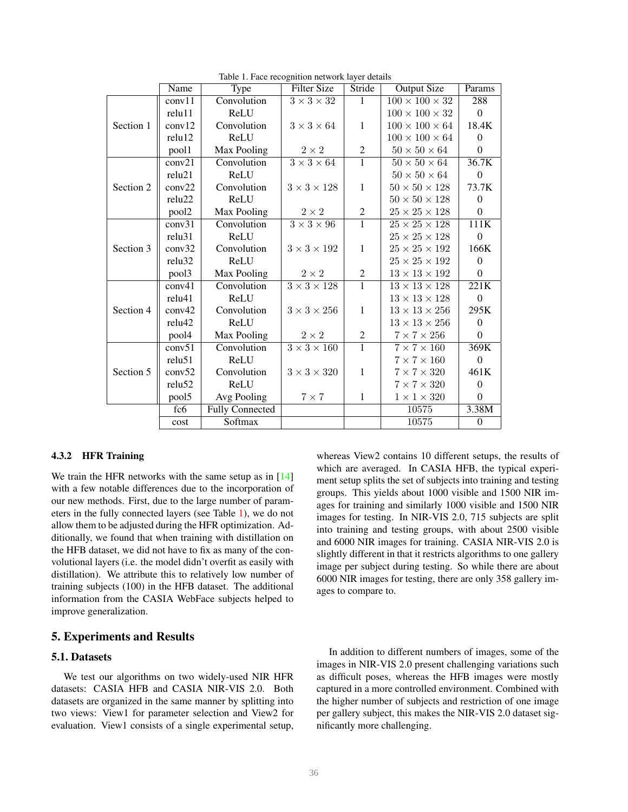<span id="page-4-2"></span>

|           | Name               | Type                   | <b>Filter Size</b>               | Stride           | <b>Output Size</b>         | Params           |
|-----------|--------------------|------------------------|----------------------------------|------------------|----------------------------|------------------|
|           | conv11             | Convolution            | $3 \times 3 \times 32$           | $\mathbf{1}$     | $100 \times 100 \times 32$ | 288              |
|           | relu11             | ReLU                   |                                  |                  | $100 \times 100 \times 32$ | $\boldsymbol{0}$ |
| Section 1 | conv12             | Convolution            | $3 \times 3 \times 64$           | $\mathbf{1}$     | $100 \times 100 \times 64$ | 18.4K            |
|           | relu12             | ReLU                   |                                  |                  | $100\times100\times64$     | $\theta$         |
|           | pool1              | Max Pooling            | $2 \times 2$                     | $\boldsymbol{2}$ | $50 \times 50 \times 64$   | $\boldsymbol{0}$ |
|           | conv21             | Convolution            | $\overline{3\times 3\times 64}$  | $\overline{1}$   | $50 \times 50 \times 64$   | 36.7K            |
|           | relu21             | ReLU                   |                                  |                  | $50 \times 50 \times 64$   | $\boldsymbol{0}$ |
| Section 2 | conv22             | Convolution            | $3 \times 3 \times 128$          | $\mathbf{1}$     | $50 \times 50 \times 128$  | 73.7K            |
|           | relu22             | ReLU                   |                                  |                  | $50 \times 50 \times 128$  | $\boldsymbol{0}$ |
|           | pool <sub>2</sub>  | Max Pooling            | $2\times2$                       | $\boldsymbol{2}$ | $25 \times 25 \times 128$  | $\boldsymbol{0}$ |
|           | conv31             | Convolution            | $3 \times 3 \times 96$           | $\overline{1}$   | $25 \times 25 \times 128$  | 111K             |
|           | relu31             | ReLU                   |                                  |                  | $25\times25\times128$      | $\boldsymbol{0}$ |
| Section 3 | conv32             | Convolution            | $3\times3\times192$              | $\mathbf{1}$     | $25 \times 25 \times 192$  | 166K             |
|           | relu <sub>32</sub> | ReLU                   |                                  |                  | $25 \times 25 \times 192$  | $\Omega$         |
|           | pool3              | Max Pooling            | $2 \times 2$                     | 2                | $13 \times 13 \times 192$  | $\theta$         |
|           | conv41             | Convolution            | $\overline{3\times 3\times 128}$ | $\overline{1}$   | $13\times13\times128$      | 221K             |
|           | relu41             | ReLU                   |                                  |                  | $13 \times 13 \times 128$  | $\boldsymbol{0}$ |
| Section 4 | conv42             | Convolution            | $3 \times 3 \times 256$          | $\mathbf{1}$     | $13 \times 13 \times 256$  | 295K             |
|           | relu42             | ReLU                   |                                  |                  | $13\times13\times256$      | $\mathbf{0}$     |
|           | pool4              | Max Pooling            | $2\times 2$                      | $\overline{c}$   | $7 \times 7 \times 256$    | $\overline{0}$   |
|           | conv51             | Convolution            | $3 \times 3 \times 160$          | $\overline{1}$   | $7 \times 7 \times 160$    | 369K             |
|           | relu51             | ReLU                   |                                  |                  | $7 \times 7 \times 160$    | $\boldsymbol{0}$ |
| Section 5 | conv52             | Convolution            | $3 \times 3 \times 320$          | $\mathbf{1}$     | $7 \times 7 \times 320$    | 461K             |
|           | relu52             | ReLU                   |                                  |                  | $7 \times 7 \times 320$    | $\mathbf{0}$     |
|           | pool5              | Avg Pooling            | $7\times7$                       | $\mathbf{1}$     | $1 \times 1 \times 320$    | $\mathbf{0}$     |
|           | fc6                | <b>Fully Connected</b> |                                  |                  | 10575                      | 3.38M            |
|           | cost               | Softmax                |                                  |                  | 10575                      | $\boldsymbol{0}$ |

<span id="page-4-1"></span>Table 1. Face recognition network layer details

#### 4.3.2 HFR Training

We train the HFR networks with the same setup as in [\[14\]](#page-6-0) with a few notable differences due to the incorporation of our new methods. First, due to the large number of parameters in the fully connected layers (see Table [1\)](#page-4-1), we do not allow them to be adjusted during the HFR optimization. Additionally, we found that when training with distillation on the HFB dataset, we did not have to fix as many of the convolutional layers (i.e. the model didn't overfit as easily with distillation). We attribute this to relatively low number of training subjects (100) in the HFB dataset. The additional information from the CASIA WebFace subjects helped to improve generalization.

## <span id="page-4-0"></span>5. Experiments and Results

#### 5.1. Datasets

We test our algorithms on two widely-used NIR HFR datasets: CASIA HFB and CASIA NIR-VIS 2.0. Both datasets are organized in the same manner by splitting into two views: View1 for parameter selection and View2 for evaluation. View1 consists of a single experimental setup,

whereas View2 contains 10 different setups, the results of which are averaged. In CASIA HFB, the typical experiment setup splits the set of subjects into training and testing groups. This yields about 1000 visible and 1500 NIR images for training and similarly 1000 visible and 1500 NIR images for testing. In NIR-VIS 2.0, 715 subjects are split into training and testing groups, with about 2500 visible and 6000 NIR images for training. CASIA NIR-VIS 2.0 is slightly different in that it restricts algorithms to one gallery image per subject during testing. So while there are about 6000 NIR images for testing, there are only 358 gallery images to compare to.

In addition to different numbers of images, some of the images in NIR-VIS 2.0 present challenging variations such as difficult poses, whereas the HFB images were mostly captured in a more controlled environment. Combined with the higher number of subjects and restriction of one image per gallery subject, this makes the NIR-VIS 2.0 dataset significantly more challenging.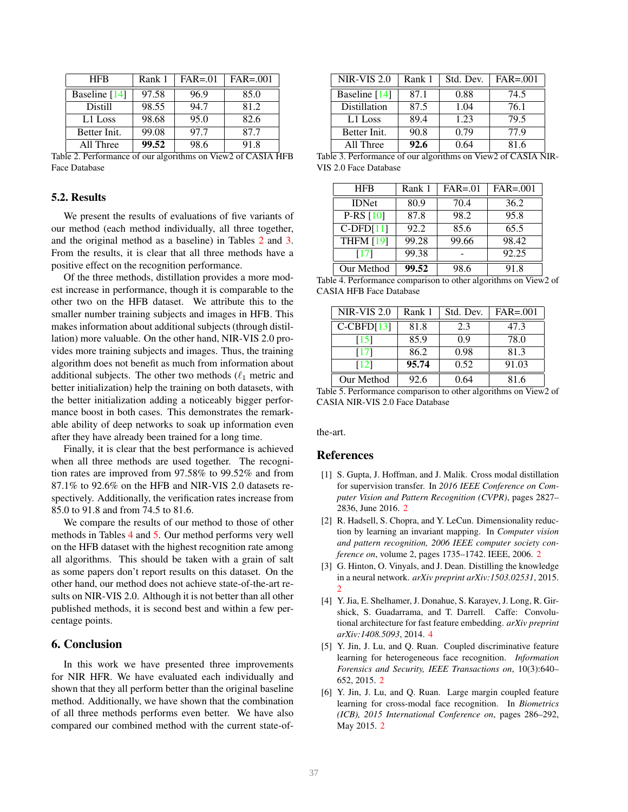<span id="page-5-11"></span>

| <b>HFB</b>      | Rank 1 | $FAR = 01$ | $FAR = .001$ |
|-----------------|--------|------------|--------------|
| Baseline $[14]$ | 97.58  | 96.9       | 85.0         |
| <b>Distill</b>  | 98.55  | 94.7       | 81.2         |
| L1 Loss         | 98.68  | 95.0       | 82.6         |
| Better Init.    | 99.08  | 97.7       | 87.7         |
| All Three       | 99.52  | 98.6       | 91.8         |

<span id="page-5-7"></span>Table 2. Performance of our algorithms on View2 of CASIA HFB Face Database

## 5.2. Results

We present the results of evaluations of five variants of our method (each method individually, all three together, and the original method as a baseline) in Tables [2](#page-5-7) and [3.](#page-5-8) From the results, it is clear that all three methods have a positive effect on the recognition performance.

Of the three methods, distillation provides a more modest increase in performance, though it is comparable to the other two on the HFB dataset. We attribute this to the smaller number training subjects and images in HFB. This makes information about additional subjects (through distillation) more valuable. On the other hand, NIR-VIS 2.0 provides more training subjects and images. Thus, the training algorithm does not benefit as much from information about additional subjects. The other two methods  $(\ell_1$  metric and better initialization) help the training on both datasets, with the better initialization adding a noticeably bigger performance boost in both cases. This demonstrates the remarkable ability of deep networks to soak up information even after they have already been trained for a long time.

Finally, it is clear that the best performance is achieved when all three methods are used together. The recognition rates are improved from 97.58% to 99.52% and from 87.1% to 92.6% on the HFB and NIR-VIS 2.0 datasets respectively. Additionally, the verification rates increase from 85.0 to 91.8 and from 74.5 to 81.6.

We compare the results of our method to those of other methods in Tables [4](#page-5-9) and [5.](#page-5-10) Our method performs very well on the HFB dataset with the highest recognition rate among all algorithms. This should be taken with a grain of salt as some papers don't report results on this dataset. On the other hand, our method does not achieve state-of-the-art results on NIR-VIS 2.0. Although it is not better than all other published methods, it is second best and within a few percentage points.

## <span id="page-5-0"></span>6. Conclusion

In this work we have presented three improvements for NIR HFR. We have evaluated each individually and shown that they all perform better than the original baseline method. Additionally, we have shown that the combination of all three methods performs even better. We have also compared our combined method with the current state-of-

| <b>NIR-VIS 2.0</b> | Rank 1 | Std. Dev. | $FAR = .001$ |
|--------------------|--------|-----------|--------------|
| Baseline [14]      | 87.1   | 0.88      | 74.5         |
| Distillation       | 87.5   | 1.04      | 76.1         |
| L1 Loss            | 89.4   | 1.23      | 79.5         |
| Better Init.       | 90.8   | 0.79      | 77.9         |
| All Three          | 92.6   | 0.64      | 81.6         |

<span id="page-5-8"></span>

|                       | Table 3. Performance of our algorithms on View2 of CASIA NIR- |  |
|-----------------------|---------------------------------------------------------------|--|
| VIS 2.0 Face Database |                                                               |  |

| <b>HFB</b>       | Rank 1 | $FAR = 01$ | $FAR = .001$ |
|------------------|--------|------------|--------------|
| <b>IDNet</b>     | 80.9   | 70.4       | 36.2         |
| P-RS $[10]$      | 87.8   | 98.2       | 95.8         |
| $C-DFD[11]$      | 92.2   | 85.6       | 65.5         |
| <b>THFM</b> [19] | 99.28  | 99.66      | 98.42        |
| [17]             | 99.38  |            | 92.25        |
| Our Method       | 99.52  | 98.6       | 91.8         |

<span id="page-5-9"></span>Table 4. Performance comparison to other algorithms on View2 of CASIA HFB Face Database

| $NIR-VIS$ 2.0 | Rank 1 | Std. Dev. | $FAR = .001$ |
|---------------|--------|-----------|--------------|
| $C-CBFD[13]$  | 81.8   | 2.3       | 47.3         |
| [15]          | 85.9   | 0.9       | 78.0         |
| [17]          | 86.2   | 0.98      | 81.3         |
| [12]          | 95.74  | 0.52      | 91.03        |
| Our Method    | 92.6   | ) 64      | 81 6         |

<span id="page-5-10"></span>Table 5. Performance comparison to other algorithms on View2 of CASIA NIR-VIS 2.0 Face Database

the-art.

#### References

- <span id="page-5-4"></span>[1] S. Gupta, J. Hoffman, and J. Malik. Cross modal distillation for supervision transfer. In *2016 IEEE Conference on Computer Vision and Pattern Recognition (CVPR)*, pages 2827– 2836, June 2016. [2](#page-1-4)
- <span id="page-5-5"></span>[2] R. Hadsell, S. Chopra, and Y. LeCun. Dimensionality reduction by learning an invariant mapping. In *Computer vision and pattern recognition, 2006 IEEE computer society conference on*, volume 2, pages 1735–1742. IEEE, 2006. [2](#page-1-4)
- <span id="page-5-3"></span>[3] G. Hinton, O. Vinyals, and J. Dean. Distilling the knowledge in a neural network. *arXiv preprint arXiv:1503.02531*, 2015. [2](#page-1-4)
- <span id="page-5-6"></span>[4] Y. Jia, E. Shelhamer, J. Donahue, S. Karayev, J. Long, R. Girshick, S. Guadarrama, and T. Darrell. Caffe: Convolutional architecture for fast feature embedding. *arXiv preprint arXiv:1408.5093*, 2014. [4](#page-3-3)
- <span id="page-5-1"></span>[5] Y. Jin, J. Lu, and Q. Ruan. Coupled discriminative feature learning for heterogeneous face recognition. *Information Forensics and Security, IEEE Transactions on*, 10(3):640– 652, 2015. [2](#page-1-4)
- <span id="page-5-2"></span>[6] Y. Jin, J. Lu, and Q. Ruan. Large margin coupled feature learning for cross-modal face recognition. In *Biometrics (ICB), 2015 International Conference on*, pages 286–292, May 2015. [2](#page-1-4)